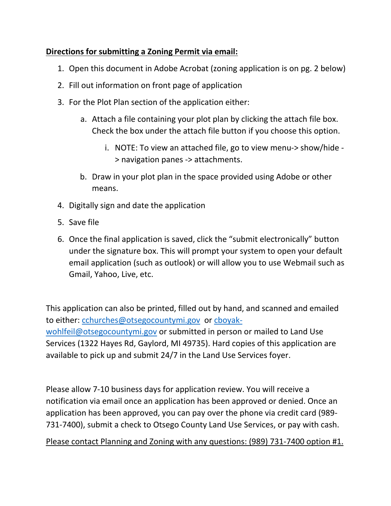# **Directions for submitting a Zoning Permit via email:**

- 1. Open this document in Adobe Acrobat (zoning application is on pg. 2 below)
- 2. Fill out information on front page of application
- 3. For the Plot Plan section of the application either:
	- a. Attach a file containing your plot plan by clicking the attach file box. Check the box under the attach file button if you choose this option.
		- i. NOTE: To view an attached file, go to view menu-> show/hide > navigation panes -> attachments.
	- b. Draw in your plot plan in the space provided using Adobe or other means.
- 4. Digitally sign and date the application
- 5. Save file
- 6. Once the final application is saved, click the "submit electronically" button under the signature box. This will prompt your system to open your default email application (such as outlook) or will allow you to use Webmail such as Gmail, Yahoo, Live, etc.

This application can also be printed, filled out by hand, and scanned and emailed to either: cchurches@otsegocountymi.gov or cboyakwohlfeil@otsegocountymi.gov or submitted in person or mailed to Land Use Services (1322 Hayes Rd, Gaylord, MI 49735). Hard copies of this application are available to pick up and submit 24/7 in the Land Use Services foyer.

Please allow 7-10 business days for application review. You will receive a notification via email once an application has been approved or denied. Once an application has been approved, you can pay over the phone via credit card (989- 731-7400), submit a check to Otsego County Land Use Services, or pay with cash.

Please contact Planning and Zoning with any questions: (989) 731-7400 option #1.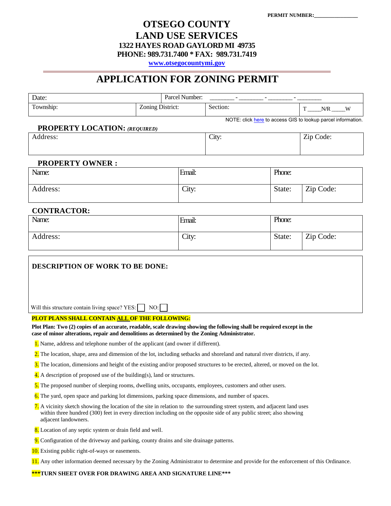### **OTSEGO COUNTY LAND USE SERVICES 1322 HAYES ROAD GAYLORD MI 49735 PHONE: 989.731.7400 \* FAX: 989.731.7419**

**[www.otsegocountymi.gov](http://www.otsegocountymi.gov/)**

## **APPLICATION FOR ZONING PERMIT**

| Date:                                                                                                                                                                                                                                                                      |                  | Parcel Number: |          |        |                                                              |  |
|----------------------------------------------------------------------------------------------------------------------------------------------------------------------------------------------------------------------------------------------------------------------------|------------------|----------------|----------|--------|--------------------------------------------------------------|--|
| Township:                                                                                                                                                                                                                                                                  | Zoning District: |                | Section: |        | $N/R$ W<br>T                                                 |  |
|                                                                                                                                                                                                                                                                            |                  |                |          |        | NOTE: click here to access GIS to lookup parcel information. |  |
| <b>PROPERTY LOCATION: (REQUIRED)</b><br>Address:                                                                                                                                                                                                                           |                  |                | City:    |        | Zip Code:                                                    |  |
|                                                                                                                                                                                                                                                                            |                  |                |          |        |                                                              |  |
| <b>PROPERTY OWNER:</b>                                                                                                                                                                                                                                                     |                  |                |          |        |                                                              |  |
| Name:                                                                                                                                                                                                                                                                      |                  | Email:         |          | Phone: |                                                              |  |
| Address:                                                                                                                                                                                                                                                                   |                  | City:          |          | State: | Zip Code:                                                    |  |
| <b>CONTRACTOR:</b>                                                                                                                                                                                                                                                         |                  |                |          |        |                                                              |  |
| Name:                                                                                                                                                                                                                                                                      |                  | Email:         |          | Phone: |                                                              |  |
| Address:                                                                                                                                                                                                                                                                   |                  | City:          |          | State: | Zip Code:                                                    |  |
| Will this structure contain living space? YES:                                                                                                                                                                                                                             | NO:I             |                |          |        |                                                              |  |
| PLOT PLANS SHALL CONTAIN ALL OF THE FOLLOWING:                                                                                                                                                                                                                             |                  |                |          |        |                                                              |  |
| Plot Plan: Two (2) copies of an accurate, readable, scale drawing showing the following shall be required except in the<br>case of minor alterations, repair and demolitions as determined by the Zoning Administrator.                                                    |                  |                |          |        |                                                              |  |
| <b>1.</b> Name, address and telephone number of the applicant (and owner if different).                                                                                                                                                                                    |                  |                |          |        |                                                              |  |
| 2. The location, shape, area and dimension of the lot, including setbacks and shoreland and natural river districts, if any.                                                                                                                                               |                  |                |          |        |                                                              |  |
| 3. The location, dimensions and height of the existing and/or proposed structures to be erected, altered, or moved on the lot.                                                                                                                                             |                  |                |          |        |                                                              |  |
| <b>4.</b> A description of proposed use of the building(s), land or structures.                                                                                                                                                                                            |                  |                |          |        |                                                              |  |
| 5. The proposed number of sleeping rooms, dwelling units, occupants, employees, customers and other users.                                                                                                                                                                 |                  |                |          |        |                                                              |  |
| 6. The yard, open space and parking lot dimensions, parking space dimensions, and number of spaces.                                                                                                                                                                        |                  |                |          |        |                                                              |  |
| 7. A vicinity sketch showing the location of the site in relation to the surrounding street system, and adjacent land uses<br>within three hundred (300) feet in every direction including on the opposite side of any public street; also showing<br>adjacent landowners. |                  |                |          |        |                                                              |  |
| 8. Location of any septic system or drain field and well.                                                                                                                                                                                                                  |                  |                |          |        |                                                              |  |
| 9. Configuration of the driveway and parking, county drains and site drainage patterns.                                                                                                                                                                                    |                  |                |          |        |                                                              |  |

- 10. Existing public right-of-ways or easements.
- 11. Any other information deemed necessary by the Zoning Administrator to determine and provide for the enforcement of this Ordinance.

**\*\*\*TURN SHEET OVER FOR DRAWING AREA AND SIGNATURE LINE\*\*\***